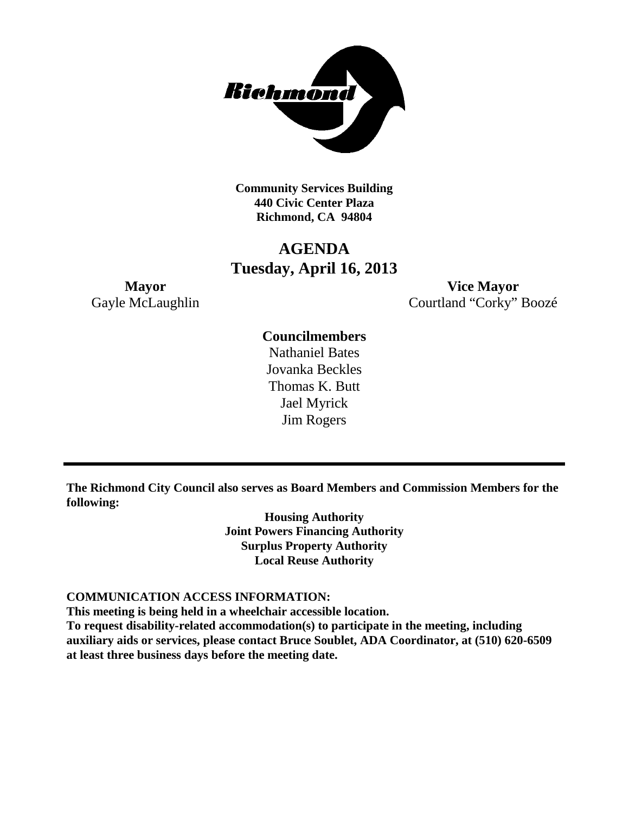

**Community Services Building 440 Civic Center Plaza Richmond, CA 94804**

# **AGENDA Tuesday, April 16, 2013**

**Mayor Vice Mayor** Gayle McLaughlin Courtland "Corky" Boozé

# **Councilmembers**

Nathaniel Bates Jovanka Beckles Thomas K. Butt Jael Myrick Jim Rogers

**The Richmond City Council also serves as Board Members and Commission Members for the following:**

> **Housing Authority Joint Powers Financing Authority Surplus Property Authority Local Reuse Authority**

#### **COMMUNICATION ACCESS INFORMATION:**

**This meeting is being held in a wheelchair accessible location.**

**To request disability-related accommodation(s) to participate in the meeting, including auxiliary aids or services, please contact Bruce Soublet, ADA Coordinator, at (510) 620-6509 at least three business days before the meeting date.**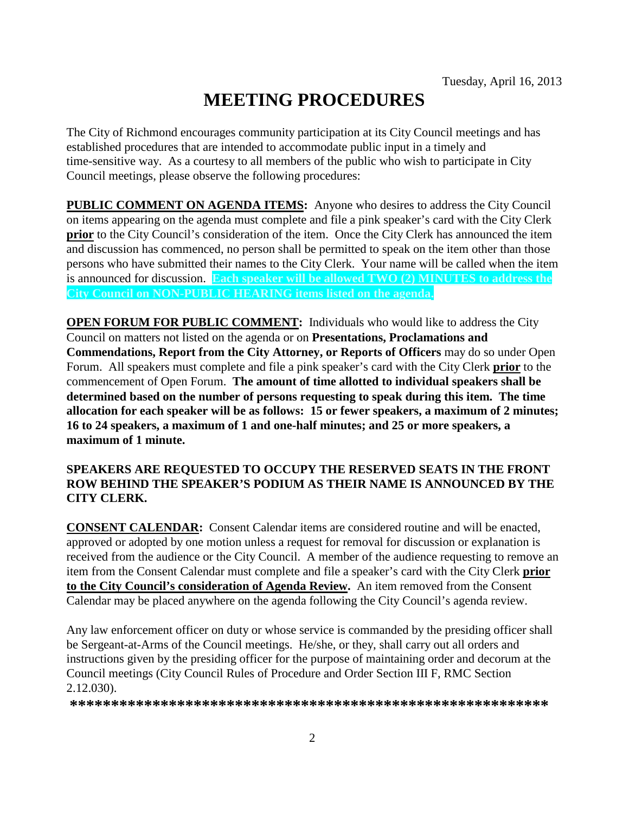# **MEETING PROCEDURES**

The City of Richmond encourages community participation at its City Council meetings and has established procedures that are intended to accommodate public input in a timely and time-sensitive way. As a courtesy to all members of the public who wish to participate in City Council meetings, please observe the following procedures:

**PUBLIC COMMENT ON AGENDA ITEMS:** Anyone who desires to address the City Council on items appearing on the agenda must complete and file a pink speaker's card with the City Clerk **prior** to the City Council's consideration of the item. Once the City Clerk has announced the item and discussion has commenced, no person shall be permitted to speak on the item other than those persons who have submitted their names to the City Clerk. Your name will be called when the item is announced for discussion. **Each speaker will be allowed TWO (2) MINUTES to address the City Council on NON-PUBLIC HEARING items listed on the agenda.**

**OPEN FORUM FOR PUBLIC COMMENT:** Individuals who would like to address the City Council on matters not listed on the agenda or on **Presentations, Proclamations and Commendations, Report from the City Attorney, or Reports of Officers** may do so under Open Forum. All speakers must complete and file a pink speaker's card with the City Clerk **prior** to the commencement of Open Forum. **The amount of time allotted to individual speakers shall be determined based on the number of persons requesting to speak during this item. The time allocation for each speaker will be as follows: 15 or fewer speakers, a maximum of 2 minutes; 16 to 24 speakers, a maximum of 1 and one-half minutes; and 25 or more speakers, a maximum of 1 minute.**

# **SPEAKERS ARE REQUESTED TO OCCUPY THE RESERVED SEATS IN THE FRONT ROW BEHIND THE SPEAKER'S PODIUM AS THEIR NAME IS ANNOUNCED BY THE CITY CLERK.**

**CONSENT CALENDAR:** Consent Calendar items are considered routine and will be enacted, approved or adopted by one motion unless a request for removal for discussion or explanation is received from the audience or the City Council. A member of the audience requesting to remove an item from the Consent Calendar must complete and file a speaker's card with the City Clerk **prior to the City Council's consideration of Agenda Review.** An item removed from the Consent Calendar may be placed anywhere on the agenda following the City Council's agenda review.

Any law enforcement officer on duty or whose service is commanded by the presiding officer shall be Sergeant-at-Arms of the Council meetings. He/she, or they, shall carry out all orders and instructions given by the presiding officer for the purpose of maintaining order and decorum at the Council meetings (City Council Rules of Procedure and Order Section III F, RMC Section 2.12.030).

**\*\*\*\*\*\*\*\*\*\*\*\*\*\*\*\*\*\*\*\*\*\*\*\*\*\*\*\*\*\*\*\*\*\*\*\*\*\*\*\*\*\*\*\*\*\*\*\*\*\*\*\*\*\*\*\*\*\***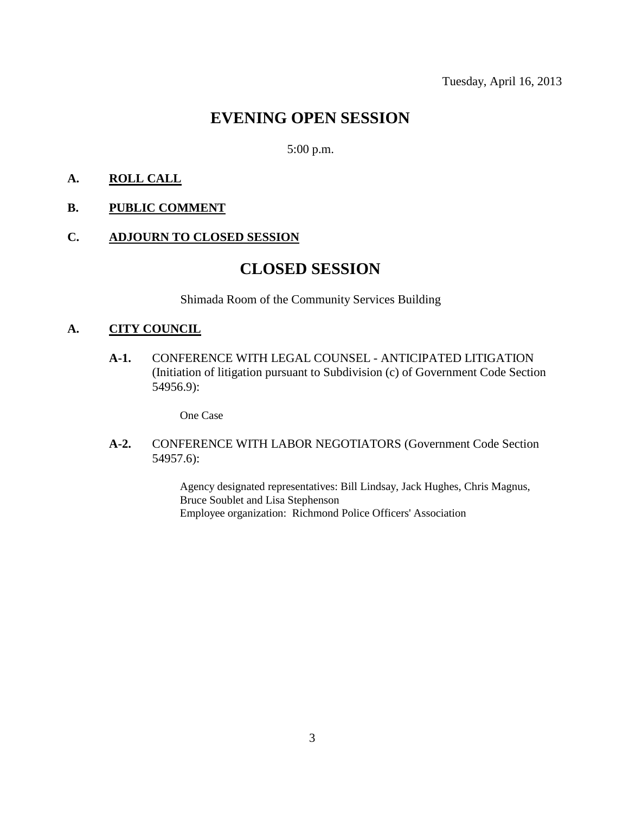# **EVENING OPEN SESSION**

5:00 p.m.

# **A. ROLL CALL**

# **B. PUBLIC COMMENT**

#### **C. ADJOURN TO CLOSED SESSION**

# **CLOSED SESSION**

Shimada Room of the Community Services Building

# **A. CITY COUNCIL**

**A-1.** CONFERENCE WITH LEGAL COUNSEL - ANTICIPATED LITIGATION (Initiation of litigation pursuant to Subdivision (c) of Government Code Section 54956.9):

One Case

**A-2.** CONFERENCE WITH LABOR NEGOTIATORS (Government Code Section 54957.6):

> Agency designated representatives: Bill Lindsay, Jack Hughes, Chris Magnus, Bruce Soublet and Lisa Stephenson Employee organization: Richmond Police Officers' Association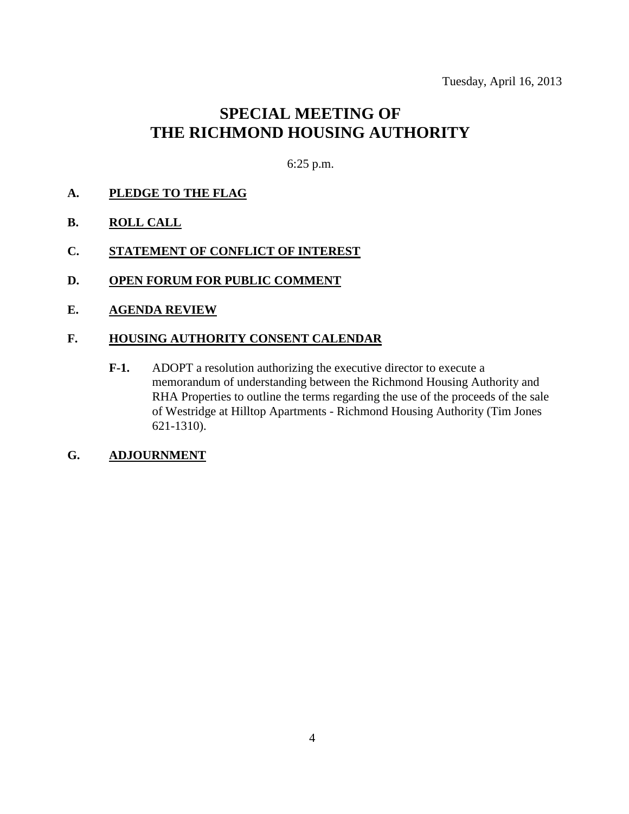# **SPECIAL MEETING OF THE RICHMOND HOUSING AUTHORITY**

6:25 p.m.

- **A. PLEDGE TO THE FLAG**
- **B. ROLL CALL**
- **C. STATEMENT OF CONFLICT OF INTEREST**
- **D. OPEN FORUM FOR PUBLIC COMMENT**
- **E. AGENDA REVIEW**

#### **F. HOUSING AUTHORITY CONSENT CALENDAR**

**F-1.** ADOPT a resolution authorizing the executive director to execute a memorandum of understanding between the Richmond Housing Authority and RHA Properties to outline the terms regarding the use of the proceeds of the sale of Westridge at Hilltop Apartments - Richmond Housing Authority (Tim Jones 621-1310).

# **G. ADJOURNMENT**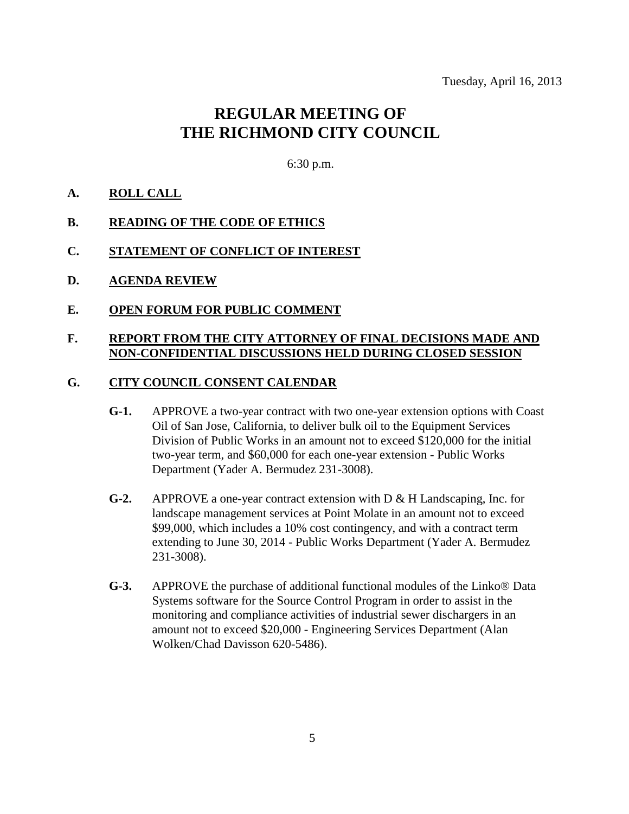# **REGULAR MEETING OF THE RICHMOND CITY COUNCIL**

6:30 p.m.

# **A. ROLL CALL**

#### **B. READING OF THE CODE OF ETHICS**

- **C. STATEMENT OF CONFLICT OF INTEREST**
- **D. AGENDA REVIEW**
- **E. OPEN FORUM FOR PUBLIC COMMENT**

#### **F. REPORT FROM THE CITY ATTORNEY OF FINAL DECISIONS MADE AND NON-CONFIDENTIAL DISCUSSIONS HELD DURING CLOSED SESSION**

#### **G. CITY COUNCIL CONSENT CALENDAR**

- **G-1.** APPROVE a two-year contract with two one-year extension options with Coast Oil of San Jose, California, to deliver bulk oil to the Equipment Services Division of Public Works in an amount not to exceed \$120,000 for the initial two-year term, and \$60,000 for each one-year extension - Public Works Department (Yader A. Bermudez 231-3008).
- **G-2.** APPROVE a one-year contract extension with D & H Landscaping, Inc. for landscape management services at Point Molate in an amount not to exceed \$99,000, which includes a 10% cost contingency, and with a contract term extending to June 30, 2014 - Public Works Department (Yader A. Bermudez 231-3008).
- **G-3.** APPROVE the purchase of additional functional modules of the Linko® Data Systems software for the Source Control Program in order to assist in the monitoring and compliance activities of industrial sewer dischargers in an amount not to exceed \$20,000 - Engineering Services Department (Alan Wolken/Chad Davisson 620-5486).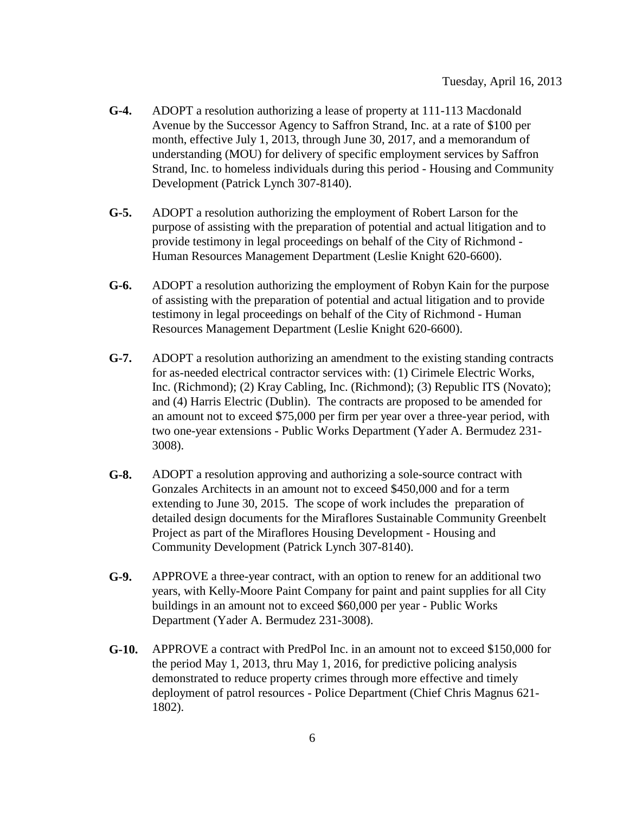- **G-4.** ADOPT a resolution authorizing a lease of property at 111-113 Macdonald Avenue by the Successor Agency to Saffron Strand, Inc. at a rate of \$100 per month, effective July 1, 2013, through June 30, 2017, and a memorandum of understanding (MOU) for delivery of specific employment services by Saffron Strand, Inc. to homeless individuals during this period - Housing and Community Development (Patrick Lynch 307-8140).
- **G-5.** ADOPT a resolution authorizing the employment of Robert Larson for the purpose of assisting with the preparation of potential and actual litigation and to provide testimony in legal proceedings on behalf of the City of Richmond - Human Resources Management Department (Leslie Knight 620-6600).
- **G-6.** ADOPT a resolution authorizing the employment of Robyn Kain for the purpose of assisting with the preparation of potential and actual litigation and to provide testimony in legal proceedings on behalf of the City of Richmond - Human Resources Management Department (Leslie Knight 620-6600).
- **G-7.** ADOPT a resolution authorizing an amendment to the existing standing contracts for as-needed electrical contractor services with: (1) Cirimele Electric Works, Inc. (Richmond); (2) Kray Cabling, Inc. (Richmond); (3) Republic ITS (Novato); and (4) Harris Electric (Dublin). The contracts are proposed to be amended for an amount not to exceed \$75,000 per firm per year over a three-year period, with two one-year extensions - Public Works Department (Yader A. Bermudez 231- 3008).
- **G-8.** ADOPT a resolution approving and authorizing a sole-source contract with Gonzales Architects in an amount not to exceed \$450,000 and for a term extending to June 30, 2015. The scope of work includes the preparation of detailed design documents for the Miraflores Sustainable Community Greenbelt Project as part of the Miraflores Housing Development - Housing and Community Development (Patrick Lynch 307-8140).
- **G-9.** APPROVE a three-year contract, with an option to renew for an additional two years, with Kelly-Moore Paint Company for paint and paint supplies for all City buildings in an amount not to exceed \$60,000 per year - Public Works Department (Yader A. Bermudez 231-3008).
- **G-10.** APPROVE a contract with PredPol Inc. in an amount not to exceed \$150,000 for the period May 1, 2013, thru May 1, 2016, for predictive policing analysis demonstrated to reduce property crimes through more effective and timely deployment of patrol resources - Police Department (Chief Chris Magnus 621- 1802).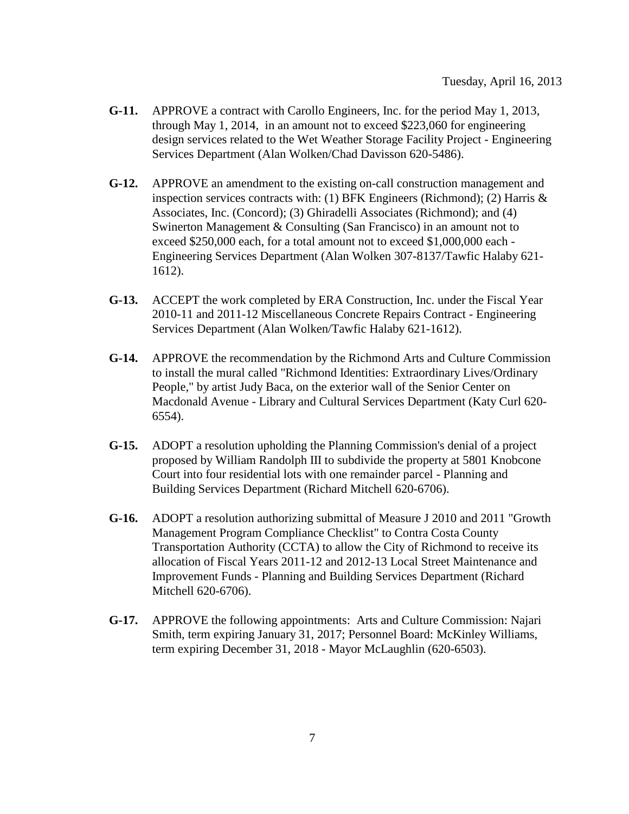- **G-11.** APPROVE a contract with Carollo Engineers, Inc. for the period May 1, 2013, through May 1, 2014, in an amount not to exceed \$223,060 for engineering design services related to the Wet Weather Storage Facility Project - Engineering Services Department (Alan Wolken/Chad Davisson 620-5486).
- **G-12.** APPROVE an amendment to the existing on-call construction management and inspection services contracts with: (1) BFK Engineers (Richmond); (2) Harris & Associates, Inc. (Concord); (3) Ghiradelli Associates (Richmond); and (4) Swinerton Management & Consulting (San Francisco) in an amount not to exceed \$250,000 each, for a total amount not to exceed \$1,000,000 each - Engineering Services Department (Alan Wolken 307-8137/Tawfic Halaby 621- 1612).
- **G-13.** ACCEPT the work completed by ERA Construction, Inc. under the Fiscal Year 2010-11 and 2011-12 Miscellaneous Concrete Repairs Contract - Engineering Services Department (Alan Wolken/Tawfic Halaby 621-1612).
- **G-14.** APPROVE the recommendation by the Richmond Arts and Culture Commission to install the mural called "Richmond Identities: Extraordinary Lives/Ordinary People," by artist Judy Baca, on the exterior wall of the Senior Center on Macdonald Avenue - Library and Cultural Services Department (Katy Curl 620- 6554).
- **G-15.** ADOPT a resolution upholding the Planning Commission's denial of a project proposed by William Randolph III to subdivide the property at 5801 Knobcone Court into four residential lots with one remainder parcel - Planning and Building Services Department (Richard Mitchell 620-6706).
- **G-16.** ADOPT a resolution authorizing submittal of Measure J 2010 and 2011 "Growth Management Program Compliance Checklist" to Contra Costa County Transportation Authority (CCTA) to allow the City of Richmond to receive its allocation of Fiscal Years 2011-12 and 2012-13 Local Street Maintenance and Improvement Funds - Planning and Building Services Department (Richard Mitchell 620-6706).
- **G-17.** APPROVE the following appointments: Arts and Culture Commission: Najari Smith, term expiring January 31, 2017; Personnel Board: McKinley Williams, term expiring December 31, 2018 - Mayor McLaughlin (620-6503).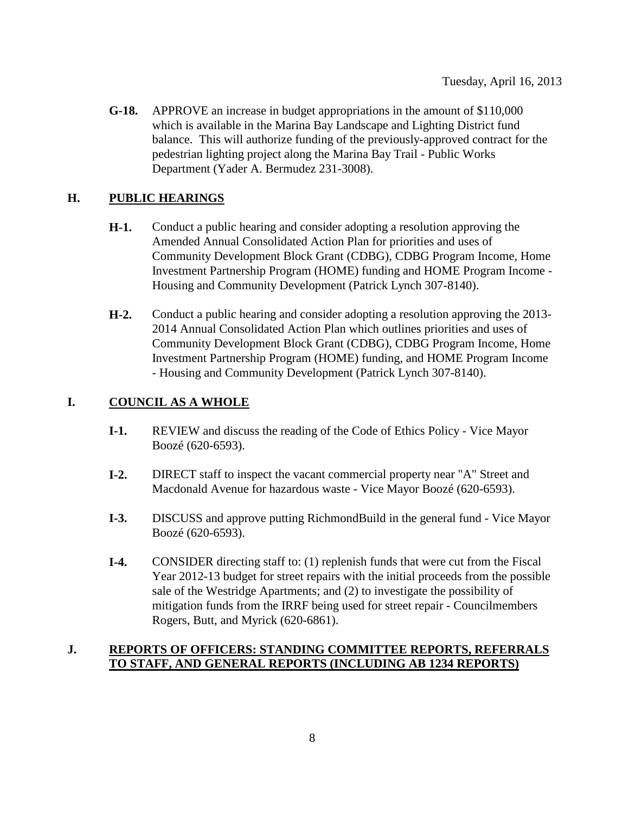**G-18.** APPROVE an increase in budget appropriations in the amount of \$110,000 which is available in the Marina Bay Landscape and Lighting District fund balance. This will authorize funding of the previously-approved contract for the pedestrian lighting project along the Marina Bay Trail - Public Works Department (Yader A. Bermudez 231-3008).

# **H. PUBLIC HEARINGS**

- **H-1.** Conduct a public hearing and consider adopting a resolution approving the Amended Annual Consolidated Action Plan for priorities and uses of Community Development Block Grant (CDBG), CDBG Program Income, Home Investment Partnership Program (HOME) funding and HOME Program Income - Housing and Community Development (Patrick Lynch 307-8140).
- **H-2.** Conduct a public hearing and consider adopting a resolution approving the 2013- 2014 Annual Consolidated Action Plan which outlines priorities and uses of Community Development Block Grant (CDBG), CDBG Program Income, Home Investment Partnership Program (HOME) funding, and HOME Program Income - Housing and Community Development (Patrick Lynch 307-8140).

# **I. COUNCIL AS A WHOLE**

- **I-1.** REVIEW and discuss the reading of the Code of Ethics Policy Vice Mayor Boozé (620-6593).
- **I-2.** DIRECT staff to inspect the vacant commercial property near "A" Street and Macdonald Avenue for hazardous waste - Vice Mayor Boozé (620-6593).
- **I-3.** DISCUSS and approve putting RichmondBuild in the general fund Vice Mayor Boozé (620-6593).
- **I-4.** CONSIDER directing staff to: (1) replenish funds that were cut from the Fiscal Year 2012-13 budget for street repairs with the initial proceeds from the possible sale of the Westridge Apartments; and (2) to investigate the possibility of mitigation funds from the IRRF being used for street repair - Councilmembers Rogers, Butt, and Myrick (620-6861).

# **J. REPORTS OF OFFICERS: STANDING COMMITTEE REPORTS, REFERRALS TO STAFF, AND GENERAL REPORTS (INCLUDING AB 1234 REPORTS)**